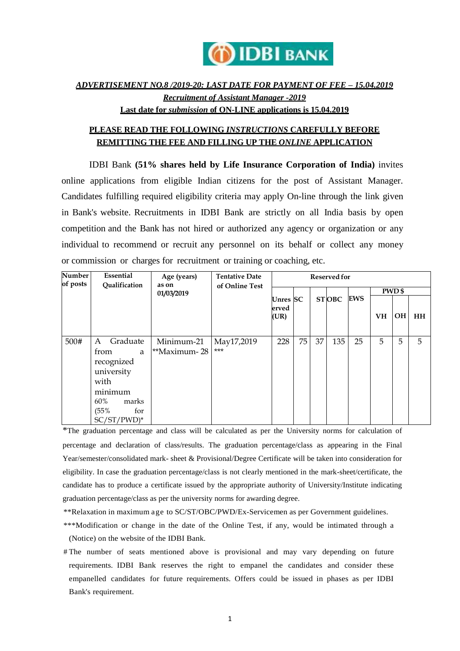

# *ADVERTISEMENT NO.8 /2019-20: LAST DATE FOR PAYMENT OF FEE – 15.04.2019 Recruitment of Assistant Manager -2019* **Last date for** *submission* **of ON-LINE applications is 15.04.2019**

## **PLEASE READ THE FOLLOWING** *INSTRUCTIONS* **CAREFULLY BEFORE REMITTING THE FEE AND FILLING UP THE** *ONLINE* **APPLICATION**

IDBI Bank **(51% shares held by Life Insurance Corporation of India)** invites online applications from eligible Indian citizens for the post of Assistant Manager. Candidates fulfilling required eligibility criteria may apply On-line through the link given in Bank's website. Recruitments in IDBI Bank are strictly on all India basis by open competition and the Bank has not hired or authorized any agency or organization or any individual to recommend or recruit any personnel on its behalf or collect any money or commission or charges for recruitment or training or coaching, etc.

| Number<br>of posts | Essential<br>Qualification                                                                                                 | Age (years)<br>as on       | <b>Tentative Date</b><br>of Online Test | <b>Reserved for</b>       |    |    |              |            |               |           |           |
|--------------------|----------------------------------------------------------------------------------------------------------------------------|----------------------------|-----------------------------------------|---------------------------|----|----|--------------|------------|---------------|-----------|-----------|
|                    |                                                                                                                            | 01/03/2019                 |                                         |                           |    |    |              |            | <b>PWD</b> \$ |           |           |
|                    |                                                                                                                            |                            |                                         | Unres SC<br>erved<br>(UR) |    |    | <b>STOBC</b> | <b>EWS</b> | <b>VH</b>     | <b>OH</b> | <b>HH</b> |
| 500#               | Graduate<br>A<br>from<br>a<br>recognized<br>university<br>with<br>minimum<br>60%<br>marks<br>(55%<br>for<br>$SC/ST/PWD)^*$ | Minimum-21<br>**Maximum-28 | May17,2019<br>$***$                     | 228                       | 75 | 37 | 135          | 25         | 5             | 5         | 5         |

\*The graduation percentage and class will be calculated as per the University norms for calculation of percentage and declaration of class/results. The graduation percentage/class as appearing in the Final Year/semester/consolidated mark- sheet & Provisional/Degree Certificate will be taken into consideration for eligibility. In case the graduation percentage/class is not clearly mentioned in the mark-sheet/certificate, the candidate has to produce a certificate issued by the appropriate authority of University/Institute indicating graduation percentage/class as per the university norms for awarding degree.

- \*\*Relaxation in maximum age to SC/ST/OBC/PWD/Ex-Servicemen as per Government guidelines.
- \*\*\*Modification or change in the date of the Online Test, if any, would be intimated through a (Notice) on the website of the IDBI Bank.
- # The number of seats mentioned above is provisional and may vary depending on future requirements. IDBI Bank reserves the right to empanel the candidates and consider these empanelled candidates for future requirements. Offers could be issued in phases as per IDBI Bank's requirement.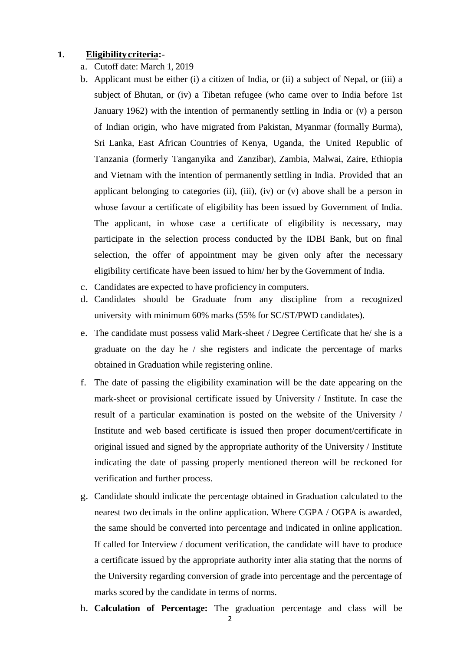#### **1. Eligibilitycriteria:-**

- a. Cutoff date: March 1, 2019
- b. Applicant must be either (i) a citizen of India, or (ii) a subject of Nepal, or (iii) a subject of Bhutan, or (iv) a Tibetan refugee (who came over to India before 1st January 1962) with the intention of permanently settling in India or (v) a person of Indian origin, who have migrated from Pakistan, Myanmar (formally Burma), Sri Lanka, East African Countries of Kenya, Uganda, the United Republic of Tanzania (formerly Tanganyika and Zanzibar), Zambia, Malwai, Zaire, Ethiopia and Vietnam with the intention of permanently settling in India. Provided that an applicant belonging to categories (ii), (iii), (iv) or  $(v)$  above shall be a person in whose favour a certificate of eligibility has been issued by Government of India. The applicant, in whose case a certificate of eligibility is necessary, may participate in the selection process conducted by the IDBI Bank, but on final selection, the offer of appointment may be given only after the necessary eligibility certificate have been issued to him/ her by the Government of India.
- c. Candidates are expected to have proficiency in computers.
- d. Candidates should be Graduate from any discipline from a recognized university with minimum 60% marks (55% for SC/ST/PWD candidates).
- e. The candidate must possess valid Mark-sheet / Degree Certificate that he/ she is a graduate on the day he / she registers and indicate the percentage of marks obtained in Graduation while registering online.
- f. The date of passing the eligibility examination will be the date appearing on the mark-sheet or provisional certificate issued by University / Institute. In case the result of a particular examination is posted on the website of the University / Institute and web based certificate is issued then proper document/certificate in original issued and signed by the appropriate authority of the University / Institute indicating the date of passing properly mentioned thereon will be reckoned for verification and further process.
- g. Candidate should indicate the percentage obtained in Graduation calculated to the nearest two decimals in the online application. Where CGPA / OGPA is awarded, the same should be converted into percentage and indicated in online application. If called for Interview / document verification, the candidate will have to produce a certificate issued by the appropriate authority inter alia stating that the norms of the University regarding conversion of grade into percentage and the percentage of marks scored by the candidate in terms of norms.
- h. **Calculation of Percentage:** The graduation percentage and class will be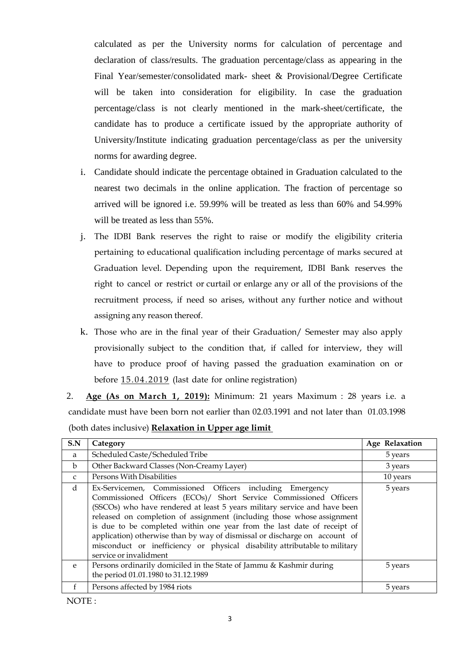calculated as per the University norms for calculation of percentage and declaration of class/results. The graduation percentage/class as appearing in the Final Year/semester/consolidated mark- sheet & Provisional/Degree Certificate will be taken into consideration for eligibility. In case the graduation percentage/class is not clearly mentioned in the mark-sheet/certificate, the candidate has to produce a certificate issued by the appropriate authority of University/Institute indicating graduation percentage/class as per the university norms for awarding degree.

- i. Candidate should indicate the percentage obtained in Graduation calculated to the nearest two decimals in the online application. The fraction of percentage so arrived will be ignored i.e. 59.99% will be treated as less than 60% and 54.99% will be treated as less than 55%.
- j. The IDBI Bank reserves the right to raise or modify the eligibility criteria pertaining to educational qualification including percentage of marks secured at Graduation level. Depending upon the requirement, IDBI Bank reserves the right to cancel or restrict or curtail or enlarge any or all of the provisions of the recruitment process, if need so arises, without any further notice and without assigning any reason thereof.
- k. Those who are in the final year of their Graduation/ Semester may also apply provisionally subject to the condition that, if called for interview, they will have to produce proof of having passed the graduation examination on or before 15.04.2019 (last date for online registration)
- 2. **Age (As on March 1, 2019):** Minimum: 21 years Maximum : 28 years i.e. a candidate must have been born not earlier than 02.03.1991 and not later than 01.03.1998 (both dates inclusive) **Relaxation in Upper age limit**

| S.N          | Category                                                                                                                                                                                                                                                                                                                                                                                                                                                                                                                                              | Age Relaxation |
|--------------|-------------------------------------------------------------------------------------------------------------------------------------------------------------------------------------------------------------------------------------------------------------------------------------------------------------------------------------------------------------------------------------------------------------------------------------------------------------------------------------------------------------------------------------------------------|----------------|
| a            | Scheduled Caste/Scheduled Tribe                                                                                                                                                                                                                                                                                                                                                                                                                                                                                                                       | 5 years        |
| $\mathbf b$  | Other Backward Classes (Non-Creamy Layer)                                                                                                                                                                                                                                                                                                                                                                                                                                                                                                             | 3 years        |
| $\mathsf{C}$ | Persons With Disabilities                                                                                                                                                                                                                                                                                                                                                                                                                                                                                                                             | 10 years       |
| d            | Ex-Servicemen, Commissioned Officers including Emergency<br>Commissioned Officers (ECOs)/ Short Service Commissioned Officers<br>(SSCOs) who have rendered at least 5 years military service and have been<br>released on completion of assignment (including those whose assignment<br>is due to be completed within one year from the last date of receipt of<br>application) otherwise than by way of dismissal or discharge on account of<br>misconduct or inefficiency or physical disability attributable to military<br>service or invalidment | 5 years        |
| $\mathbf{e}$ | Persons ordinarily domiciled in the State of Jammu & Kashmir during<br>the period 01.01.1980 to 31.12.1989                                                                                                                                                                                                                                                                                                                                                                                                                                            | 5 years        |
|              | Persons affected by 1984 riots                                                                                                                                                                                                                                                                                                                                                                                                                                                                                                                        | 5 years        |

NOTE :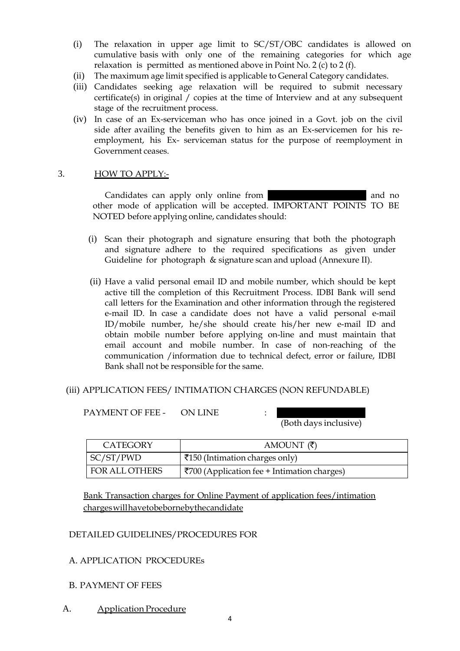- (i) The relaxation in upper age limit to SC/ST/OBC candidates is allowed on cumulative basis with only one of the remaining categories for which age relaxation is permitted as mentioned above in Point No. 2 (c) to 2 (f).
- (ii) The maximum age limit specified is applicable to General Category candidates.
- (iii) Candidates seeking age relaxation will be required to submit necessary certificate(s) in original / copies at the time of Interview and at any subsequent stage of the recruitment process.
- (iv) In case of an Ex-serviceman who has once joined in a Govt. job on the civil side after availing the benefits given to him as an Ex-servicemen for his reemployment, his Ex- serviceman status for the purpose of reemployment in Government ceases.

### 3. HOW TO APPLY:-

Candidates can apply only online from **14.04.2019** and no other mode of application will be accepted. IMPORTANT POINTS TO BE NOTED before applying online, candidates should:

- (i) Scan their photograph and signature ensuring that both the photograph and signature adhere to the required specifications as given under Guideline for photograph & signature scan and upload (Annexure II).
- (ii) Have a valid personal email ID and mobile number, which should be kept active till the completion of this Recruitment Process. IDBI Bank will send call letters for the Examination and other information through the registered e-mail ID. In case a candidate does not have a valid personal e-mail ID/mobile number, he/she should create his/her new e-mail ID and obtain mobile number before applying on-line and must maintain that email account and mobile number. In case of non-reaching of the communication /information due to technical defect, error or failure, IDBI Bank shall not be responsible for the same.

### (iii) APPLICATION FEES/ INTIMATION CHARGES (NON REFUNDABLE)

PAYMENT OF FEE - ON LINE :

(Both days inclusive)

| CATEGORY       | AMOUNT $(\bar{\zeta})$                                      |
|----------------|-------------------------------------------------------------|
| SC/ST/PWD      | ₹150 (Intimation charges only)                              |
| FOR ALL OTHERS | $\overline{\xi}$ 700 (Application fee + Intimation charges) |

Bank Transaction charges for Online Payment of application fees/intimation charges will havetobebornebythecandidate

### DETAILED GUIDELINES/PROCEDURES FOR

## A. APPLICATION PROCEDUREs

### B. PAYMENT OF FEES

A. Application Procedure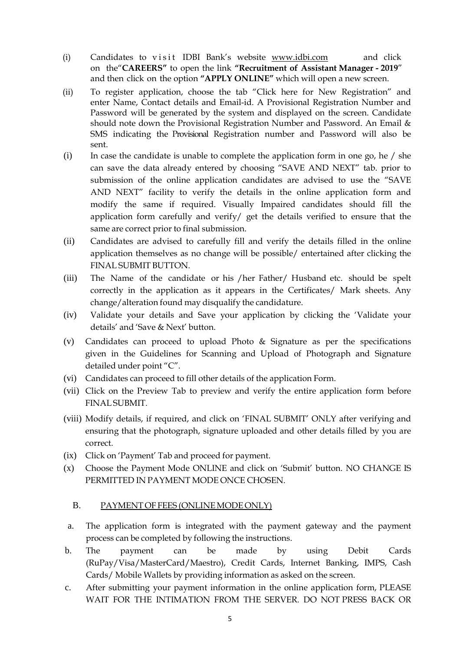- (i) Candidates to visit IDBI Bank's website [www.idbi.com](http://www.idbi.com/) and click on the"**CAREERS"** to open the link **"Recruitment of Assistant Manager - 2019**" and then click on the option **"APPLY ONLINE"** which will open a new screen.
- (ii) To register application, choose the tab "Click here for New Registration" and enter Name, Contact details and Email-id. A Provisional Registration Number and Password will be generated by the system and displayed on the screen. Candidate should note down the Provisional Registration Number and Password. An Email & SMS indicating the Provisional Registration number and Password will also be sent.
- $(i)$  In case the candidate is unable to complete the application form in one go, he / she can save the data already entered by choosing "SAVE AND NEXT" tab. prior to submission of the online application candidates are advised to use the "SAVE AND NEXT" facility to verify the details in the online application form and modify the same if required. Visually Impaired candidates should fill the application form carefully and verify/ get the details verified to ensure that the same are correct prior to final submission.
- (ii) Candidates are advised to carefully fill and verify the details filled in the online application themselves as no change will be possible/ entertained after clicking the FINAL SUBMIT BUTTON.
- (iii) The Name of the candidate or his /her Father/ Husband etc. should be spelt correctly in the application as it appears in the Certificates/ Mark sheets. Any change/alteration found may disqualify the candidature.
- (iv) Validate your details and Save your application by clicking the 'Validate your details' and 'Save & Next' button.
- (v) Candidates can proceed to upload Photo & Signature as per the specifications given in the Guidelines for Scanning and Upload of Photograph and Signature detailed under point "C".
- (vi) Candidates can proceed to fill other details of the application Form.
- (vii) Click on the Preview Tab to preview and verify the entire application form before FINAL SUBMIT.
- (viii) Modify details, if required, and click on 'FINAL SUBMIT' ONLY after verifying and ensuring that the photograph, signature uploaded and other details filled by you are correct.
- (ix) Click on 'Payment' Tab and proceed for payment.
- (x) Choose the Payment Mode ONLINE and click on 'Submit' button. NO CHANGE IS PERMITTED IN PAYMENT MODE ONCE CHOSEN.

## B. PAYMENT OF FEES (ONLINE MODE ONLY)

- a. The application form is integrated with the payment gateway and the payment process can be completed by following the instructions.
- b. The payment can be made by using Debit Cards (RuPay/Visa/MasterCard/Maestro), Credit Cards, Internet Banking, IMPS, Cash Cards/ Mobile Wallets by providing information as asked on the screen.
- c. After submitting your payment information in the online application form, PLEASE WAIT FOR THE INTIMATION FROM THE SERVER. DO NOT PRESS BACK OR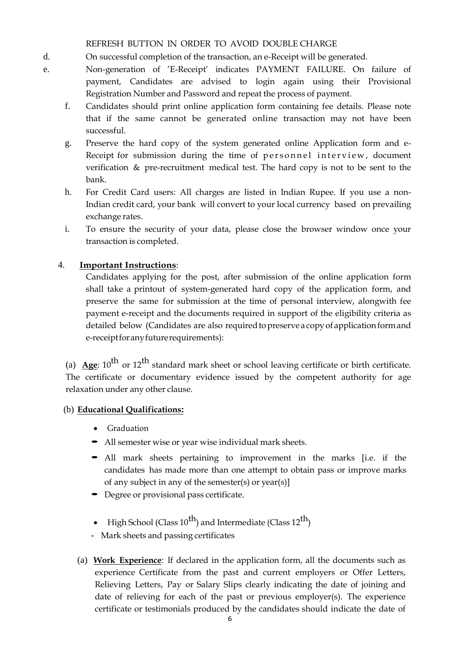REFRESH BUTTON IN ORDER TO AVOID DOUBLE CHARGE

- d. On successful completion of the transaction, an e-Receipt will be generated.
- e. Non-generation of 'E-Receipt' indicates PAYMENT FAILURE. On failure of payment, Candidates are advised to login again using their Provisional Registration Number and Password and repeat the process of payment.
	- f. Candidates should print online application form containing fee details. Please note that if the same cannot be generated online transaction may not have been successful.
	- g. Preserve the hard copy of the system generated online Application form and e-Receipt for submission during the time of personnel interview, document verification & pre-recruitment medical test. The hard copy is not to be sent to the bank.
	- h. For Credit Card users: All charges are listed in Indian Rupee. If you use a non-Indian credit card, your bank will convert to your local currency based on prevailing exchange rates.
	- i. To ensure the security of your data, please close the browser window once your transaction is completed.

## 4. **Important Instructions**:

Candidates applying for the post, after submission of the online application form shall take a printout of system-generated hard copy of the application form, and preserve the same for submission at the time of personal interview, alongwith fee payment e-receipt and the documents required in support of the eligibility criteria as detailed below (Candidates are also required to preserve a copy of application form and e-receiptforanyfuturerequirements):

(a)  $\text{Age: } 10^{\text{th}}$  or  $12^{\text{th}}$  standard mark sheet or school leaving certificate or birth certificate. The certificate or documentary evidence issued by the competent authority for age relaxation under any other clause.

## (b) **Educational Qualifications:**

- Graduation
- All semester wise or year wise individual mark sheets.
- All mark sheets pertaining to improvement in the marks [i.e. if the candidates has made more than one attempt to obtain pass or improve marks of any subject in any of the semester(s) or year(s)]
- Degree or provisional pass certificate.
- High School (Class  $10^{th}$ ) and Intermediate (Class  $12^{th}$ )
- Mark sheets and passing certificates
- (a) **Work Experience**: If declared in the application form, all the documents such as experience Certificate from the past and current employers or Offer Letters, Relieving Letters, Pay or Salary Slips clearly indicating the date of joining and date of relieving for each of the past or previous employer(s). The experience certificate or testimonials produced by the candidates should indicate the date of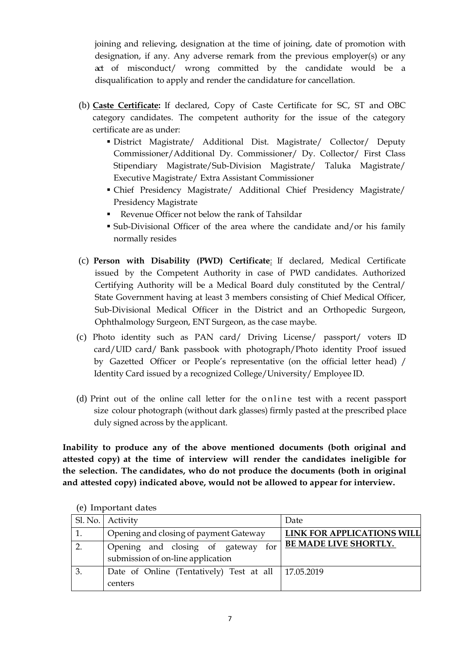joining and relieving, designation at the time of joining, date of promotion with designation, if any. Any adverse remark from the previous employer(s) or any act of misconduct/ wrong committed by the candidate would be a disqualification to apply and render the candidature for cancellation.

- (b) **Caste Certificate:** If declared, Copy of Caste Certificate for SC, ST and OBC category candidates. The competent authority for the issue of the category certificate are as under:
	- District Magistrate/ Additional Dist. Magistrate/ Collector/ Deputy Commissioner/Additional Dy. Commissioner/ Dy. Collector/ First Class Stipendiary Magistrate/Sub-Division Magistrate/ Taluka Magistrate/ Executive Magistrate/ Extra Assistant Commissioner
	- Chief Presidency Magistrate/ Additional Chief Presidency Magistrate/ Presidency Magistrate
	- Revenue Officer not below the rank of Tahsildar
	- Sub-Divisional Officer of the area where the candidate and/or his family normally resides
- (c) **Person with Disability (PWD) Certificate**: If declared, Medical Certificate issued by the Competent Authority in case of PWD candidates. Authorized Certifying Authority will be a Medical Board duly constituted by the Central/ State Government having at least 3 members consisting of Chief Medical Officer, Sub-Divisional Medical Officer in the District and an Orthopedic Surgeon, Ophthalmology Surgeon, ENT Surgeon, as the case maybe.
- (c) Photo identity such as PAN card/ Driving License/ passport/ voters ID card/UID card/ Bank passbook with photograph/Photo identity Proof issued by Gazetted Officer or People's representative (on the official letter head) / Identity Card issued by a recognized College/University/ Employee ID.
- (d) Print out of the online call letter for the online test with a recent passport size colour photograph (without dark glasses) firmly pasted at the prescribed place duly signed across by the applicant.

**Inability to produce any of the above mentioned documents (both original and attested copy) at the time of interview will render the candidates ineligible for the selection. The candidates, who do not produce the documents (both in original and attested copy) indicated above, would not be allowed to appear for interview.**

|                  | Sl. No.   Activity                                                      | Date                         |
|------------------|-------------------------------------------------------------------------|------------------------------|
| 1.               | Opening and closing of payment Gateway                                  | LINK FOR APPLICATIONS WILL   |
| $\overline{2}$ . | Opening and closing of gateway for<br>submission of on-line application | <b>BE MADE LIVE SHORTLY.</b> |
| 3.               | Date of Online (Tentatively) Test at all   17.05.2019<br>centers        |                              |

(e) Important dates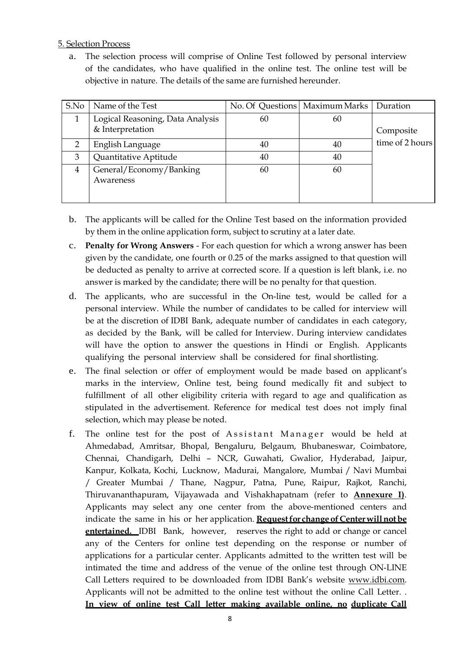## 5. Selection Process

a. The selection process will comprise of Online Test followed by personal interview of the candidates, who have qualified in the online test. The online test will be objective in nature. The details of the same are furnished hereunder.

| S.No           | Name of the Test                     |    | No. Of Questions   Maximum Marks   Duration |                 |  |
|----------------|--------------------------------------|----|---------------------------------------------|-----------------|--|
|                | Logical Reasoning, Data Analysis     | 60 | 60                                          |                 |  |
|                | & Interpretation                     |    |                                             | Composite       |  |
| $\overline{2}$ | English Language                     | 40 | 40                                          | time of 2 hours |  |
| 3              | Quantitative Aptitude                | 40 | 40                                          |                 |  |
| 4              | General/Economy/Banking<br>Awareness | 60 | 60                                          |                 |  |

- b. The applicants will be called for the Online Test based on the information provided by them in the online application form, subject to scrutiny at a later date.
- c. **Penalty for Wrong Answers** For each question for which a wrong answer has been given by the candidate, one fourth or 0.25 of the marks assigned to that question will be deducted as penalty to arrive at corrected score. If a question is left blank, i.e. no answer is marked by the candidate; there will be no penalty for that question.
- d. The applicants, who are successful in the On-line test, would be called for a personal interview. While the number of candidates to be called for interview will be at the discretion of IDBI Bank, adequate number of candidates in each category, as decided by the Bank, will be called for Interview. During interview candidates will have the option to answer the questions in Hindi or English. Applicants qualifying the personal interview shall be considered for final shortlisting.
- e. The final selection or offer of employment would be made based on applicant's marks in the interview, Online test, being found medically fit and subject to fulfillment of all other eligibility criteria with regard to age and qualification as stipulated in the advertisement. Reference for medical test does not imply final selection, which may please be noted.
- f. The online test for the post of Assistant Manager would be held at Ahmedabad, Amritsar, Bhopal, Bengaluru, Belgaum, Bhubaneswar, Coimbatore, Chennai, Chandigarh, Delhi – NCR, Guwahati, Gwalior, Hyderabad, Jaipur, Kanpur, Kolkata, Kochi, Lucknow, Madurai, Mangalore, Mumbai / Navi Mumbai / Greater Mumbai / Thane, Nagpur, Patna, Pune, Raipur, Rajkot, Ranchi, Thiruvananthapuram, Vijayawada and Vishakhapatnam (refer to **Annexure I)**. Applicants may select any one center from the above-mentioned centers and indicate the same in his or her application. **Request for change of Center will not be entertained.** IDBI Bank, however, reserves the right to add or change or cancel any of the Centers for online test depending on the response or number of applications for a particular center. Applicants admitted to the written test will be intimated the time and address of the venue of the online test through ON-LINE Call Letters required to be downloaded from IDBI Bank's website [www.idbi.com.](http://www.idbi.com/) Applicants will not be admitted to the online test without the online Call Letter. . **In view of online test Call letter making available online, no duplicate Call**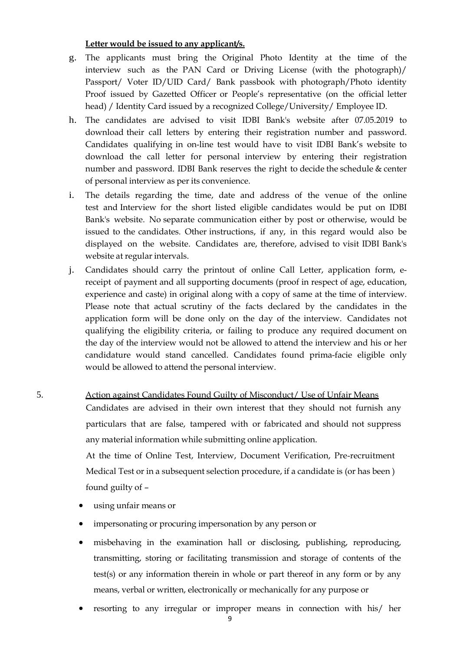### **Letter would be issued to any applicant/s.**

- g. The applicants must bring the Original Photo Identity at the time of the interview such as the PAN Card or Driving License (with the photograph)/ Passport/ Voter ID/UID Card/ Bank passbook with photograph/Photo identity Proof issued by Gazetted Officer or People's representative (on the official letter head) / Identity Card issued by a recognized College/University/ Employee ID.
- h. The candidates are advised to visit IDBI Bank's website after 07.05.2019 to download their call letters by entering their registration number and password. Candidates qualifying in on-line test would have to visit IDBI Bank's website to download the call letter for personal interview by entering their registration number and password. IDBI Bank reserves the right to decide the schedule & center of personal interview as per its convenience.
- i. The details regarding the time, date and address of the venue of the online test and Interview for the short listed eligible candidates would be put on IDBI Bank's website. No separate communication either by post or otherwise, would be issued to the candidates. Other instructions, if any, in this regard would also be displayed on the website. Candidates are, therefore, advised to visit IDBI Bank's website at regular intervals.
- j. Candidates should carry the printout of online Call Letter, application form, ereceipt of payment and all supporting documents (proof in respect of age, education, experience and caste) in original along with a copy of same at the time of interview. Please note that actual scrutiny of the facts declared by the candidates in the application form will be done only on the day of the interview. Candidates not qualifying the eligibility criteria, or failing to produce any required document on the day of the interview would not be allowed to attend the interview and his or her candidature would stand cancelled. Candidates found prima-facie eligible only would be allowed to attend the personal interview.

# 5. Action against Candidates Found Guilty of Misconduct/ Use of Unfair Means Candidates are advised in their own interest that they should not furnish any particulars that are false, tampered with or fabricated and should not suppress any material information while submitting online application. At the time of Online Test, Interview, Document Verification, Pre-recruitment

Medical Test or in a subsequent selection procedure, if a candidate is (or has been ) found guilty of –

- using unfair means or
- impersonating or procuring impersonation by any person or
- misbehaving in the examination hall or disclosing, publishing, reproducing, transmitting, storing or facilitating transmission and storage of contents of the test(s) or any information therein in whole or part thereof in any form or by any means, verbal or written, electronically or mechanically for any purpose or
- resorting to any irregular or improper means in connection with his/ her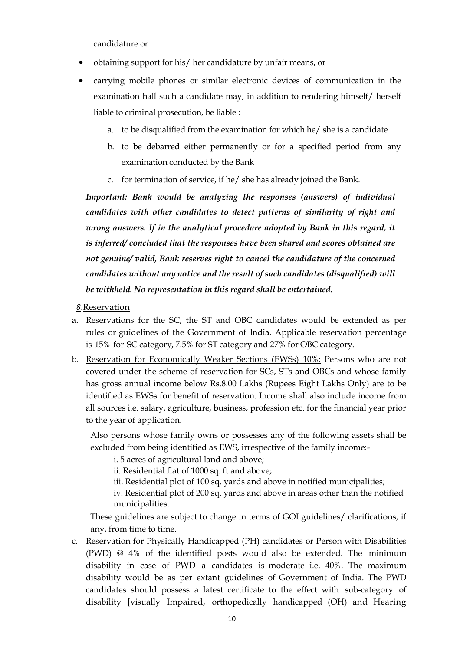candidature or

- obtaining support for his/ her candidature by unfair means, or
- carrying mobile phones or similar electronic devices of communication in the examination hall such a candidate may, in addition to rendering himself/ herself liable to criminal prosecution, be liable :
	- a. to be disqualified from the examination for which he/ she is a candidate
	- b. to be debarred either permanently or for a specified period from any examination conducted by the Bank
	- c. for termination of service, if he/ she has already joined the Bank.

*Important: Bank would be analyzing the responses (answers) of individual candidates with other candidates to detect patterns of similarity of right and wrong answers. If in the analytical procedure adopted by Bank in this regard, it is inferred/ concluded that the responses have been shared and scores obtained are not genuine/ valid, Bank reserves right to cancel the candidature of the concerned candidates without any notice and the result of such candidates (disqualified) will be withheld. No representation in this regard shall be entertained.*

#### *8*.Reservation

- a. Reservations for the SC, the ST and OBC candidates would be extended as per rules or guidelines of the Government of India. Applicable reservation percentage is 15% for SC category, 7.5% for ST category and 27% for OBC category.
- b. Reservation for Economically Weaker Sections (EWSs) 10%: Persons who are not covered under the scheme of reservation for SCs, STs and OBCs and whose family has gross annual income below Rs.8.00 Lakhs (Rupees Eight Lakhs Only) are to be identified as EWSs for benefit of reservation. Income shall also include income from all sources i.e. salary, agriculture, business, profession etc. for the financial year prior to the year of application.

Also persons whose family owns or possesses any of the following assets shall be excluded from being identified as EWS, irrespective of the family income:-

i. 5 acres of agricultural land and above;

- ii. Residential flat of 1000 sq. ft and above;
- iii. Residential plot of 100 sq. yards and above in notified municipalities;

iv. Residential plot of 200 sq. yards and above in areas other than the notified municipalities.

These guidelines are subject to change in terms of GOI guidelines/ clarifications, if any, from time to time.

c. Reservation for Physically Handicapped (PH) candidates or Person with Disabilities (PWD) @ 4% of the identified posts would also be extended. The minimum disability in case of PWD a candidates is moderate i.e. 40%. The maximum disability would be as per extant guidelines of Government of India. The PWD candidates should possess a latest certificate to the effect with sub-category of disability [visually Impaired, orthopedically handicapped (OH) and Hearing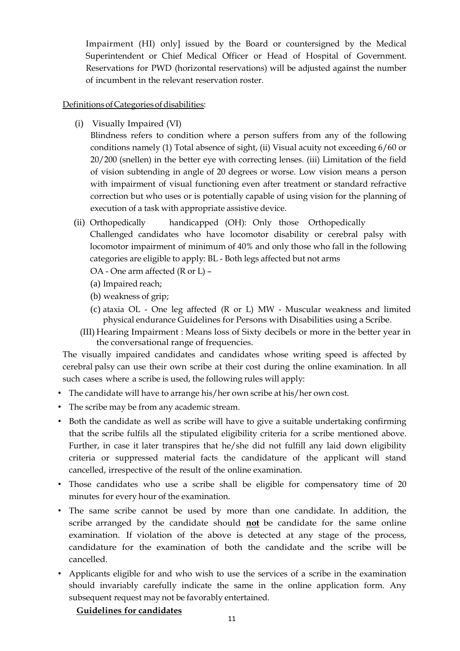Impairment (HI) only] issued by the Board or countersigned by the Medical Superintendent or Chief Medical Officer or Head of Hospital of Government. Reservations for PWD (horizontal reservations) will be adjusted against the number of incumbent in the relevant reservation roster.

## Definitions of Categories of disabilities:

(i) Visually Impaired (VI)

Blindness refers to condition where a person suffers from any of the following conditions namely (1) Total absence of sight, (ii) Visual acuity not exceeding 6/60 or 20/200 (snellen) in the better eye with correcting lenses. (iii) Limitation of the field of vision subtending in angle of 20 degrees or worse. Low vision means a person with impairment of visual functioning even after treatment or standard refractive correction but who uses or is potentially capable of using vision for the planning of execution of a task with appropriate assistive device.

- (ii) Orthopedically handicapped (OH): Only those Orthopedically Challenged candidates who have locomotor disability or cerebral palsy with locomotor impairment of minimum of 40% and only those who fall in the following
	- categories are eligible to apply: BL Both legs affected but not arms
	- OA One arm affected (R or L) –
	- (a) Impaired reach;
	- (b) weakness of grip;
	- (c) ataxia OL One leg affected (R or L) MW Muscular weakness and limited physical endurance Guidelines for Persons with Disabilities using a Scribe.
	- (III) Hearing Impairment : Means loss of Sixty decibels or more in the better year in the conversational range of frequencies.

The visually impaired candidates and candidates whose writing speed is affected by cerebral palsy can use their own scribe at their cost during the online examination. In all such cases where a scribe is used, the following rules will apply:

- The candidate will have to arrange his/her own scribe at his/her own cost.
- The scribe may be from any academic stream.
- Both the candidate as well as scribe will have to give a suitable undertaking confirming that the scribe fulfils all the stipulated eligibility criteria for a scribe mentioned above. Further, in case it later transpires that he/she did not fulfill any laid down eligibility criteria or suppressed material facts the candidature of the applicant will stand cancelled, irrespective of the result of the online examination.
- Those candidates who use a scribe shall be eligible for compensatory time of 20 minutes for every hour of the examination.
- The same scribe cannot be used by more than one candidate. In addition, the scribe arranged by the candidate should **not** be candidate for the same online examination. If violation of the above is detected at any stage of the process, candidature for the examination of both the candidate and the scribe will be cancelled.
- Applicants eligible for and who wish to use the services of a scribe in the examination should invariably carefully indicate the same in the online application form. Any subsequent request may not be favorably entertained.

#### **Guidelines for candidates**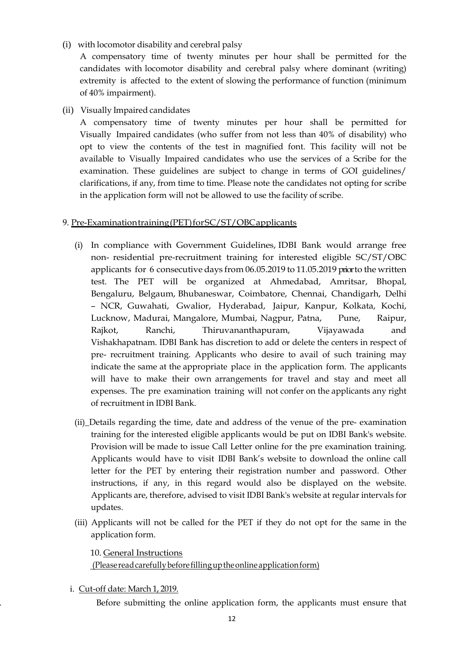(i) with locomotor disability and cerebral palsy

A compensatory time of twenty minutes per hour shall be permitted for the candidates with locomotor disability and cerebral palsy where dominant (writing) extremity is affected to the extent of slowing the performance of function (minimum of 40% impairment).

(ii) Visually Impaired candidates

A compensatory time of twenty minutes per hour shall be permitted for Visually Impaired candidates (who suffer from not less than 40% of disability) who opt to view the contents of the test in magnified font. This facility will not be available to Visually Impaired candidates who use the services of a Scribe for the examination. These guidelines are subject to change in terms of GOI guidelines/ clarifications, if any, from time to time. Please note the candidates not opting for scribe in the application form will not be allowed to use the facility of scribe.

## 9. Pre-Examinationtraining(PET)forSC/ST/OBCapplicants

- (i) In compliance with Government Guidelines, IDBI Bank would arrange free non- residential pre-recruitment training for interested eligible SC/ST/OBC applicants for 6 consecutive days from 06.05.2019 to 11.05.2019 priorto the written test. The PET will be organized at Ahmedabad, Amritsar, Bhopal, Bengaluru, Belgaum, Bhubaneswar, Coimbatore, Chennai, Chandigarh, Delhi – NCR, Guwahati, Gwalior, Hyderabad, Jaipur, Kanpur, Kolkata, Kochi, Lucknow, Madurai, Mangalore, Mumbai, Nagpur, Patna, Pune, Raipur, Rajkot, Ranchi, Thiruvananthapuram, Vijayawada and Vishakhapatnam. IDBI Bank has discretion to add or delete the centers in respect of pre- recruitment training. Applicants who desire to avail of such training may indicate the same at the appropriate place in the application form. The applicants will have to make their own arrangements for travel and stay and meet all expenses. The pre examination training will not confer on the applicants any right of recruitment in IDBI Bank.
- (ii)\_Details regarding the time, date and address of the venue of the pre- examination training for the interested eligible applicants would be put on IDBI Bank's website. Provision will be made to issue Call Letter online for the pre examination training. Applicants would have to visit IDBI Bank's website to download the online call letter for the PET by entering their registration number and password. Other instructions, if any, in this regard would also be displayed on the website. Applicants are, therefore, advised to visit IDBI Bank's website at regular intervals for updates.
- (iii) Applicants will not be called for the PET if they do not opt for the same in the application form.

10. General Instructions (Pleasereadcarefullybeforefillinguptheonlineapplicationform)

i. Cut-off date: March 1, 2019.

Before submitting the online application form, the applicants must ensure that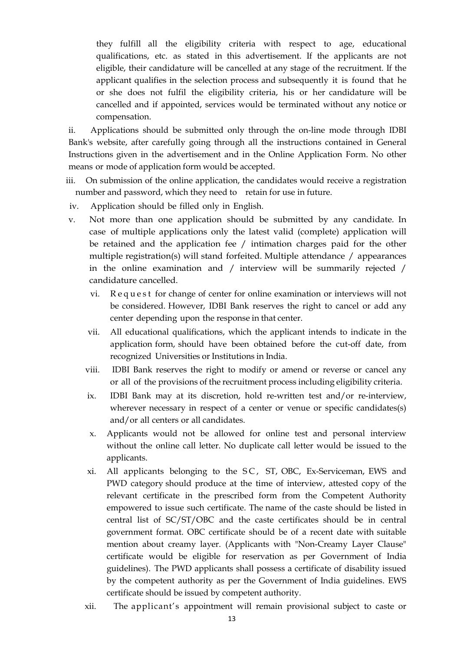they fulfill all the eligibility criteria with respect to age, educational qualifications, etc. as stated in this advertisement. If the applicants are not eligible, their candidature will be cancelled at any stage of the recruitment. If the applicant qualifies in the selection process and subsequently it is found that he or she does not fulfil the eligibility criteria, his or her candidature will be cancelled and if appointed, services would be terminated without any notice or compensation.

ii. Applications should be submitted only through the on-line mode through IDBI Bank's website, after carefully going through all the instructions contained in General Instructions given in the advertisement and in the Online Application Form. No other means or mode of application form would be accepted.

- iii. On submission of the online application, the candidates would receive a registration number and password, which they need to retain for use in future.
- iv. Application should be filled only in English.
- v. Not more than one application should be submitted by any candidate. In case of multiple applications only the latest valid (complete) application will be retained and the application fee / intimation charges paid for the other multiple registration(s) will stand forfeited. Multiple attendance / appearances in the online examination and / interview will be summarily rejected / candidature cancelled.
	- vi. Request for change of center for online examination or interviews will not be considered. However, IDBI Bank reserves the right to cancel or add any center depending upon the response in that center.
	- vii. All educational qualifications, which the applicant intends to indicate in the application form, should have been obtained before the cut-off date, from recognized Universities or Institutions in India.
	- viii. IDBI Bank reserves the right to modify or amend or reverse or cancel any or all of the provisions of the recruitment process including eligibility criteria.
	- ix. IDBI Bank may at its discretion, hold re-written test and/or re-interview, wherever necessary in respect of a center or venue or specific candidates(s) and/or all centers or all candidates.
	- x. Applicants would not be allowed for online test and personal interview without the online call letter. No duplicate call letter would be issued to the applicants.
	- xi. All applicants belonging to the SC, ST, OBC, Ex-Serviceman, EWS and PWD category should produce at the time of interview, attested copy of the relevant certificate in the prescribed form from the Competent Authority empowered to issue such certificate. The name of the caste should be listed in central list of SC/ST/OBC and the caste certificates should be in central government format. OBC certificate should be of a recent date with suitable mention about creamy layer. (Applicants with "Non-Creamy Layer Clause" certificate would be eligible for reservation as per Government of India guidelines). The PWD applicants shall possess a certificate of disability issued by the competent authority as per the Government of India guidelines. EWS certificate should be issued by competent authority.
	- xii. The applicant's appointment will remain provisional subject to caste or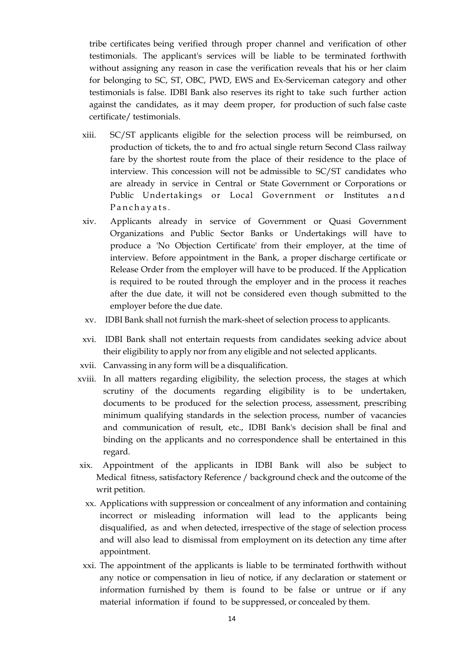tribe certificates being verified through proper channel and verification of other testimonials. The applicant's services will be liable to be terminated forthwith without assigning any reason in case the verification reveals that his or her claim for belonging to SC, ST, OBC, PWD, EWS and Ex-Serviceman category and other testimonials is false. IDBI Bank also reserves its right to take such further action against the candidates, as it may deem proper, for production of such false caste certificate/ testimonials.

- xiii. SC/ST applicants eligible for the selection process will be reimbursed, on production of tickets, the to and fro actual single return Second Class railway fare by the shortest route from the place of their residence to the place of interview. This concession will not be admissible to SC/ST candidates who are already in service in Central or State Government or Corporations or Public Undertakings or Local Government or Institutes and Panchayats.
- xiv. Applicants already in service of Government or Quasi Government Organizations and Public Sector Banks or Undertakings will have to produce a 'No Objection Certificate' from their employer, at the time of interview. Before appointment in the Bank, a proper discharge certificate or Release Order from the employer will have to be produced. If the Application is required to be routed through the employer and in the process it reaches after the due date, it will not be considered even though submitted to the employer before the due date.
- xv. IDBI Bank shall not furnish the mark-sheet of selection process to applicants.
- xvi. IDBI Bank shall not entertain requests from candidates seeking advice about their eligibility to apply nor from any eligible and not selected applicants.
- xvii. Canvassing in any form will be a disqualification.
- xviii. In all matters regarding eligibility, the selection process, the stages at which scrutiny of the documents regarding eligibility is to be undertaken, documents to be produced for the selection process, assessment, prescribing minimum qualifying standards in the selection process, number of vacancies and communication of result, etc., IDBI Bank's decision shall be final and binding on the applicants and no correspondence shall be entertained in this regard.
- xix. Appointment of the applicants in IDBI Bank will also be subject to Medical fitness, satisfactory Reference / background check and the outcome of the writ petition.
	- xx. Applications with suppression or concealment of any information and containing incorrect or misleading information will lead to the applicants being disqualified, as and when detected, irrespective of the stage of selection process and will also lead to dismissal from employment on its detection any time after appointment.
- xxi. The appointment of the applicants is liable to be terminated forthwith without any notice or compensation in lieu of notice, if any declaration or statement or information furnished by them is found to be false or untrue or if any material information if found to be suppressed, or concealed by them.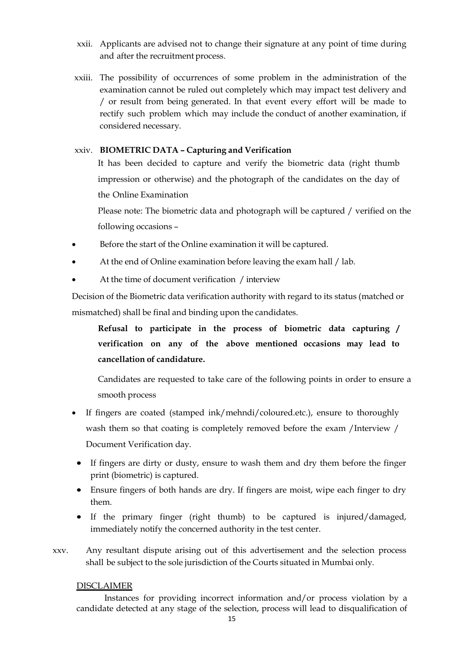- xxii. Applicants are advised not to change their signature at any point of time during and after the recruitment process.
- xxiii. The possibility of occurrences of some problem in the administration of the examination cannot be ruled out completely which may impact test delivery and / or result from being generated. In that event every effort will be made to rectify such problem which may include the conduct of another examination, if considered necessary.

## xxiv. **BIOMETRIC DATA – Capturing and Verification**

It has been decided to capture and verify the biometric data (right thumb impression or otherwise) and the photograph of the candidates on the day of the Online Examination

Please note: The biometric data and photograph will be captured / verified on the following occasions –

- Before the start of the Online examination it will be captured.
- At the end of Online examination before leaving the exam hall / lab.
- At the time of document verification / interview

Decision of the Biometric data verification authority with regard to its status (matched or mismatched) shall be final and binding upon the candidates.

**Refusal to participate in the process of biometric data capturing / verification on any of the above mentioned occasions may lead to cancellation of candidature.**

Candidates are requested to take care of the following points in order to ensure a smooth process

- If fingers are coated (stamped ink/mehndi/coloured.etc.), ensure to thoroughly wash them so that coating is completely removed before the exam /Interview / Document Verification day.
- If fingers are dirty or dusty, ensure to wash them and dry them before the finger print (biometric) is captured.
- Ensure fingers of both hands are dry. If fingers are moist, wipe each finger to dry them.
- If the primary finger (right thumb) to be captured is injured/damaged, immediately notify the concerned authority in the test center.
- xxv. Any resultant dispute arising out of this advertisement and the selection process shall be subject to the sole jurisdiction of the Courts situated in Mumbai only.

## DISCLAIMER

Instances for providing incorrect information and/or process violation by a candidate detected at any stage of the selection, process will lead to disqualification of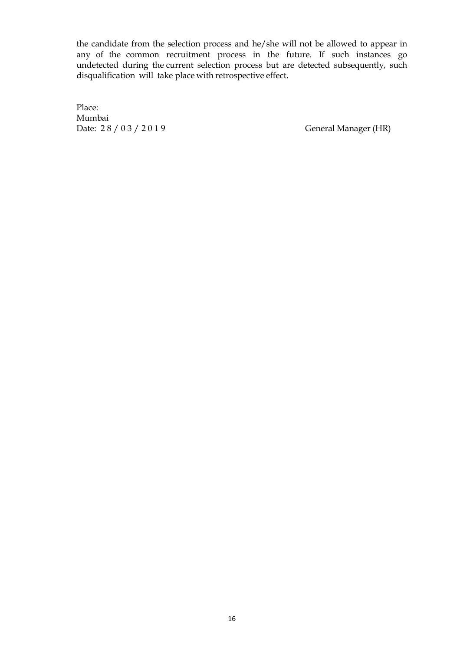the candidate from the selection process and he/she will not be allowed to appear in any of the common recruitment process in the future. If such instances go undetected during the current selection process but are detected subsequently, such disqualification will take place with retrospective effect.

Place: Mumbai Date: 28 / 0 3 / 2 0 1 9 General Manager (HR)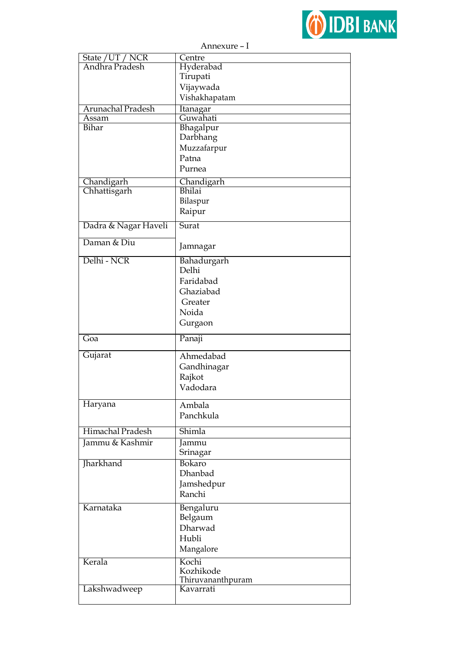

| Annexure – I         |                   |  |  |  |
|----------------------|-------------------|--|--|--|
| State / UT / NCR     | Centre            |  |  |  |
| Andhra Pradesh       | Hyderabad         |  |  |  |
|                      | Tirupati          |  |  |  |
|                      | Vijaywada         |  |  |  |
|                      | Vishakhapatam     |  |  |  |
| Arunachal Pradesh    | Itanagar          |  |  |  |
| Assam                | Guwahati          |  |  |  |
| Bihar                | Bhagalpur         |  |  |  |
|                      | Darbhang          |  |  |  |
|                      | Muzzafarpur       |  |  |  |
|                      | Patna             |  |  |  |
|                      |                   |  |  |  |
|                      | Purnea            |  |  |  |
| Chandigarh           | Chandigarh        |  |  |  |
| Chhattisgarh         | <b>Bhilai</b>     |  |  |  |
|                      | Bilaspur          |  |  |  |
|                      | Raipur            |  |  |  |
| Dadra & Nagar Haveli | Surat             |  |  |  |
|                      |                   |  |  |  |
| Daman & Diu          | Jamnagar          |  |  |  |
|                      |                   |  |  |  |
| Delhi - NCR          | Bahadurgarh       |  |  |  |
|                      | Delhi             |  |  |  |
|                      | Faridabad         |  |  |  |
|                      | Ghaziabad         |  |  |  |
|                      | Greater           |  |  |  |
|                      | Noida             |  |  |  |
|                      | Gurgaon           |  |  |  |
| Goa                  | Panaji            |  |  |  |
|                      |                   |  |  |  |
| Gujarat              | Ahmedabad         |  |  |  |
|                      | Gandhinagar       |  |  |  |
|                      | Rajkot            |  |  |  |
|                      | Vadodara          |  |  |  |
|                      |                   |  |  |  |
| Haryana              | Ambala            |  |  |  |
|                      | Panchkula         |  |  |  |
| Himachal Pradesh     | Shimla            |  |  |  |
| Jammu & Kashmir      | Jammu             |  |  |  |
|                      | Srinagar          |  |  |  |
| Jharkhand            | Bokaro            |  |  |  |
|                      | Dhanbad           |  |  |  |
|                      | Jamshedpur        |  |  |  |
|                      | Ranchi            |  |  |  |
|                      |                   |  |  |  |
| Karnataka            | Bengaluru         |  |  |  |
|                      | Belgaum           |  |  |  |
|                      | Dharwad           |  |  |  |
|                      | Hubli             |  |  |  |
|                      | Mangalore         |  |  |  |
| Kerala               | Kochi             |  |  |  |
|                      | Kozhikode         |  |  |  |
|                      | Thiruvananthpuram |  |  |  |
| Lakshwadweep         | Kavarrati         |  |  |  |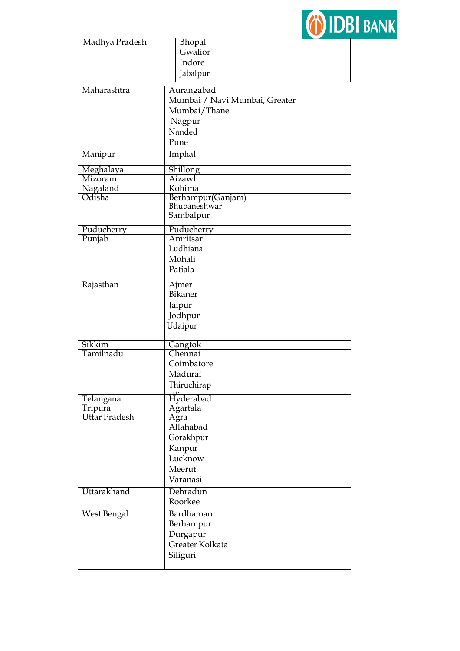

| Madhya Pradesh       | Bhopal                        |  |  |  |
|----------------------|-------------------------------|--|--|--|
|                      | Gwalior                       |  |  |  |
|                      | Indore                        |  |  |  |
|                      |                               |  |  |  |
|                      | Jabalpur                      |  |  |  |
| Maharashtra          | Aurangabad                    |  |  |  |
|                      | Mumbai / Navi Mumbai, Greater |  |  |  |
|                      | Mumbai/Thane                  |  |  |  |
|                      |                               |  |  |  |
|                      | Nagpur                        |  |  |  |
|                      | Nanded                        |  |  |  |
|                      | Pune                          |  |  |  |
| Manipur              | Imphal                        |  |  |  |
| Meghalaya            | Shillong                      |  |  |  |
| Mizoram              | Aizawl                        |  |  |  |
| Nagaland             | Kohima                        |  |  |  |
| Odisha               | Berhampur(Ganjam)             |  |  |  |
|                      | Bhubaneshwar                  |  |  |  |
|                      | Sambalpur                     |  |  |  |
| Puducherry           | Puducherry                    |  |  |  |
| Punjab               | Amritsar                      |  |  |  |
|                      | Ludhiana                      |  |  |  |
|                      |                               |  |  |  |
|                      | Mohali                        |  |  |  |
|                      | Patiala                       |  |  |  |
| Rajasthan            | Ajmer                         |  |  |  |
|                      | <b>Bikaner</b>                |  |  |  |
|                      |                               |  |  |  |
|                      | Jaipur                        |  |  |  |
|                      | Jodhpur                       |  |  |  |
|                      | Udaipur                       |  |  |  |
| Sikkim               |                               |  |  |  |
| Tamilnadu            | Gangtok<br>Chennai            |  |  |  |
|                      |                               |  |  |  |
|                      | Coimbatore                    |  |  |  |
|                      | Madurai                       |  |  |  |
|                      | Thiruchirap                   |  |  |  |
| Telangana            | Hyderabad                     |  |  |  |
| Tripura              | Agartala                      |  |  |  |
| <b>Uttar Pradesh</b> | Agra                          |  |  |  |
|                      | Allahabad                     |  |  |  |
|                      | Gorakhpur                     |  |  |  |
|                      |                               |  |  |  |
|                      | Kanpur                        |  |  |  |
|                      | Lucknow                       |  |  |  |
|                      | Meerut                        |  |  |  |
|                      | Varanasi                      |  |  |  |
| Uttarakhand          | Dehradun                      |  |  |  |
|                      | Roorkee                       |  |  |  |
| <b>West Bengal</b>   | <b>Bardhaman</b>              |  |  |  |
|                      | Berhampur                     |  |  |  |
|                      |                               |  |  |  |
|                      | Durgapur                      |  |  |  |
|                      | Greater Kolkata               |  |  |  |
|                      | Siliguri                      |  |  |  |
|                      |                               |  |  |  |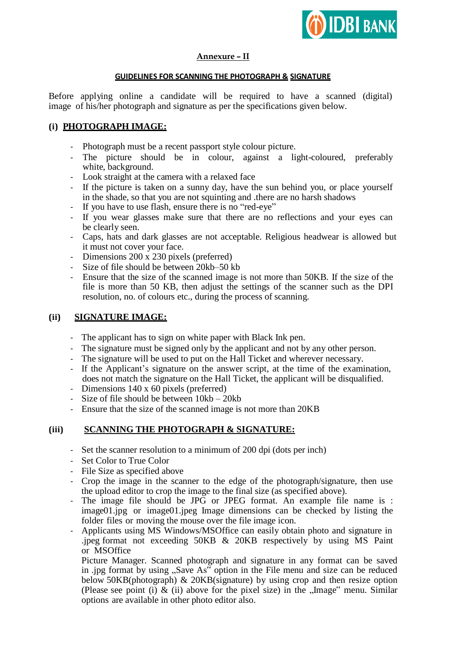

## **Annexure – II**

#### **GUIDELINES FOR SCANNING THE PHOTOGRAPH & SIGNATURE**

Before applying online a candidate will be required to have a scanned (digital) image of his/her photograph and signature as per the specifications given below.

## **(i) PHOTOGRAPH IMAGE:**

- Photograph must be a recent passport style colour picture.
- The picture should be in colour, against a light-coloured, preferably white, background.
- Look straight at the camera with a relaxed face
- If the picture is taken on a sunny day, have the sun behind you, or place yourself in the shade, so that you are not squinting and .there are no harsh shadows
- If you have to use flash, ensure there is no "red-eye"
- If you wear glasses make sure that there are no reflections and your eyes can be clearly seen.
- Caps, hats and dark glasses are not acceptable. Religious headwear is allowed but it must not cover your face.
- Dimensions 200 x 230 pixels (preferred)
- Size of file should be between 20kb–50 kb
- Ensure that the size of the scanned image is not more than 50KB. If the size of the file is more than 50 KB, then adjust the settings of the scanner such as the DPI resolution, no. of colours etc., during the process of scanning.

## **(ii) SIGNATURE IMAGE:**

- The applicant has to sign on white paper with Black Ink pen.
- The signature must be signed only by the applicant and not by any other person.
- The signature will be used to put on the Hall Ticket and wherever necessary.
- If the Applicant's signature on the answer script, at the time of the examination, does not match the signature on the Hall Ticket, the applicant will be disqualified.
- Dimensions 140 x 60 pixels (preferred)
- Size of file should be between 10kb 20kb
- Ensure that the size of the scanned image is not more than 20KB

## **(iii) SCANNING THE PHOTOGRAPH & SIGNATURE:**

- Set the scanner resolution to a minimum of 200 dpi (dots per inch)
- Set Color to True Color
- File Size as specified above
- Crop the image in the scanner to the edge of the photograph/signature, then use the upload editor to crop the image to the final size (as specified above).
- The image file should be JPG or JPEG format. An example file name is : image01.jpg or image01.jpeg Image dimensions can be checked by listing the folder files or moving the mouse over the file image icon.
- Applicants using MS Windows/MSOffice can easily obtain photo and signature in .jpeg format not exceeding 50KB & 20KB respectively by using MS Paint or MSOffice

Picture Manager. Scanned photograph and signature in any format can be saved in .jpg format by using "Save As" option in the File menu and size can be reduced below 50KB(photograph) & 20KB(signature) by using crop and then resize option (Please see point (i)  $\&$  (ii) above for the pixel size) in the "Image" menu. Similar options are available in other photo editor also.